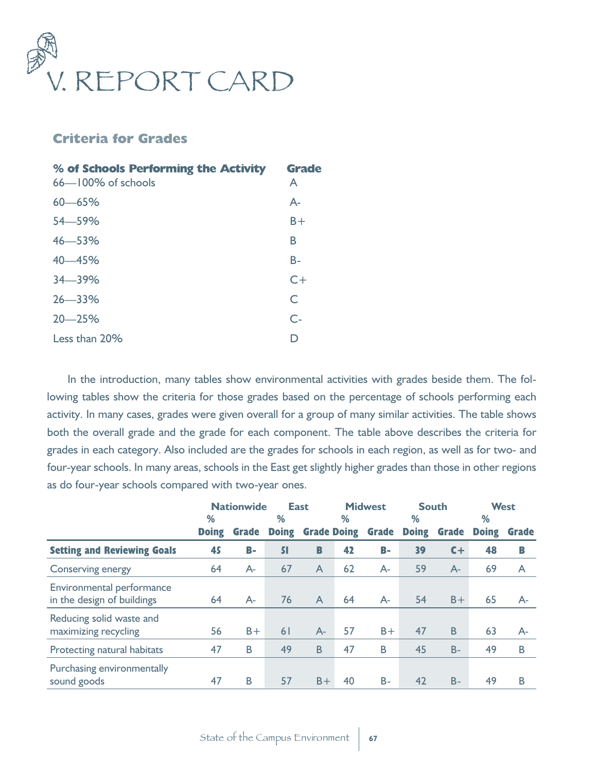

## **Criteria for Grades**

| % of Schools Performing the Activity<br>$66 - 100\%$ of schools | <b>Grade</b><br>A |
|-----------------------------------------------------------------|-------------------|
| $60 - 65%$                                                      | $A-$              |
| 54 - 59%                                                        | $B +$             |
| $46 - 53%$                                                      | В                 |
| 40 - 45%                                                        | $B -$             |
| $34 - 39%$                                                      | $C+$              |
| $26 - 33%$                                                      | C                 |
| $20 - 25%$                                                      | $C-$              |
| Less than 20%                                                   |                   |

In the introduction, many tables show environmental activities with grades beside them. The following tables show the criteria for those grades based on the percentage of schools performing each activity. In many cases, grades were given overall for a group of many similar activities. The table shows both the overall grade and the grade for each component. The table above describes the criteria for grades in each category. Also included are the grades for schools in each region, as well as for two- and four-year schools. In many areas, schools in the East get slightly higher grades than those in other regions as do four-year schools compared with two-year ones.

|                                                         | <b>Nationwide</b> |              |              | <b>Midwest</b><br><b>East</b> |    |              | <b>South</b> |              |              | <b>West</b>  |  |
|---------------------------------------------------------|-------------------|--------------|--------------|-------------------------------|----|--------------|--------------|--------------|--------------|--------------|--|
|                                                         | %                 |              | %            |                               | %  |              | %            |              | %            |              |  |
|                                                         | <b>Doing</b>      | <b>Grade</b> | <b>Doing</b> | <b>Grade Doing</b>            |    | <b>Grade</b> | <b>Doing</b> | <b>Grade</b> | <b>Doing</b> | <b>Grade</b> |  |
| <b>Setting and Reviewing Goals</b>                      | 45                | <b>B-</b>    | 51           | B                             | 42 | B-           | 39           | $C +$        | 48           | B            |  |
| Conserving energy                                       | 64                | $A-$         | 67           | A                             | 62 | $A-$         | 59           | $A-$         | 69           | A            |  |
| Environmental performance<br>in the design of buildings | 64                | $A-$         | 76           | $\mathsf{A}$                  | 64 | $A-$         | 54           | $B +$        | 65           | $A-$         |  |
| Reducing solid waste and<br>maximizing recycling        | 56                | $B +$        | 61           | $A-$                          | 57 | $B +$        | 47           | B            | 63           | $A-$         |  |
| Protecting natural habitats                             | 47                | B            | 49           | B                             | 47 | B            | 45           | $B -$        | 49           | B            |  |
| Purchasing environmentally<br>sound goods               | 47                | Β            | 57           | $B +$                         | 40 | $B -$        | 42           | $B -$        | 49           | B            |  |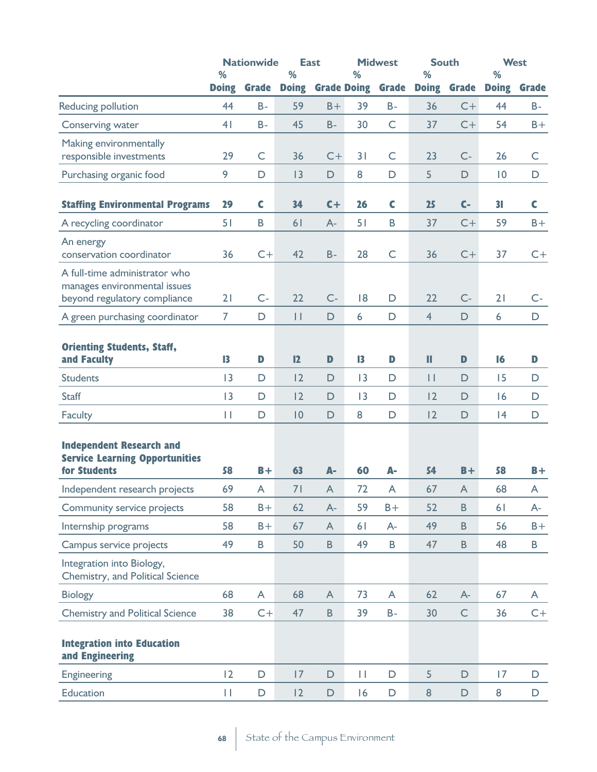|                                                                                               | %              | <b>Nationwide</b> | %              | <b>East</b>    | %                  | <b>Midwest</b> | <b>South</b><br>% |              | %            | <b>West</b>  |
|-----------------------------------------------------------------------------------------------|----------------|-------------------|----------------|----------------|--------------------|----------------|-------------------|--------------|--------------|--------------|
|                                                                                               | <b>Doing</b>   | <b>Grade</b>      | <b>Doing</b>   |                | <b>Grade Doing</b> | <b>Grade</b>   | <b>Doing</b>      | <b>Grade</b> | <b>Doing</b> | <b>Grade</b> |
| Reducing pollution                                                                            | 44             | $B -$             | 59             | $B +$          | 39                 | $B -$          | 36                | $C+$         | 44           | $B -$        |
| Conserving water                                                                              | 4 <sub>1</sub> | $B -$             | 45             | $B -$          | 30                 | $\mathsf{C}$   | 37                | $C+$         | 54           | $B +$        |
| Making environmentally<br>responsible investments                                             | 29             | $\mathsf C$       | 36             | $C+$           | 31                 | $\mathsf{C}$   | 23                | $C -$        | 26           | $\mathsf C$  |
| Purchasing organic food                                                                       | 9              | $\mathsf{D}$      | 3              | $\mathsf D$    | 8                  | $\mathsf D$    | 5                 | $\mathsf D$  | $ 0\rangle$  | D            |
| <b>Staffing Environmental Programs</b>                                                        | 29             | C                 | 34             | $C +$          | 26                 | C              | 25                | $C-$         | 31           | $\mathsf{C}$ |
| A recycling coordinator                                                                       | 51             | B                 | 6 <sub>1</sub> | $A-$           | 51                 | B              | 37                | $C+$         | 59           | $B +$        |
| An energy<br>conservation coordinator                                                         | 36             | $C+$              | 42             | $B -$          | 28                 | $\mathsf{C}$   | 36                | $C+$         | 37           | $C+$         |
| A full-time administrator who<br>manages environmental issues<br>beyond regulatory compliance | 21             | $C -$             | 22             | $C-$           | 18                 | D              | 22                | $C-$         | 21           | $C -$        |
| A green purchasing coordinator                                                                | $\overline{7}$ | D                 | $\mathbf{H}$   | D              | 6                  | D              | $\overline{4}$    | $\mathsf{D}$ | 6            | $\mathsf D$  |
| <b>Orienting Students, Staff,</b><br>and Faculty                                              | 13             | D                 | 12             | D              | $\mathbf{I}$       | $\mathbf{D}$   | Ш                 | $\mathbf{D}$ | 16           | D            |
| <b>Students</b>                                                                               | 3              | D                 | 2              | D              | 3                  | D              | $\vert \vert$     | $\mathsf D$  | 15           | D            |
| <b>Staff</b>                                                                                  | 13             | $\mathsf D$       | 2              | D              | 3                  | $\mathsf D$    | 12                | $\mathsf D$  | 6            | $\mathsf D$  |
| Faculty                                                                                       | П              | $\mathsf D$       | 0              | $\mathsf D$    | 8                  | $\mathsf D$    | 2                 | $\mathsf D$  | 4            | $\mathsf D$  |
| <b>Independent Research and</b><br><b>Service Learning Opportunities</b><br>for Students      | 58             | $B +$             | 63             | $A-$           | 60                 | А-             | 54                | $B +$        | 58           | $B +$        |
| Independent research projects                                                                 | 69             | A                 | 71             | $\overline{A}$ | 72                 | A              | 67                | A            | 68           | A            |
| Community service projects                                                                    | 58             | $B +$             | 62             | $A-$           | 59                 | $B +$          | 52                | $\sf{B}$     | 61           | A-           |
| Internship programs                                                                           | 58             | $B +$             | 67             | A              | 61                 | $A -$          | 49                | $\mathsf B$  | 56           | $B +$        |
| Campus service projects                                                                       | 49             | B                 | 50             | $\mathsf B$    | 49                 | B              | 47                | $\sf{B}$     | 48           | B            |
| Integration into Biology,<br>Chemistry, and Political Science                                 |                |                   |                |                |                    |                |                   |              |              |              |
| <b>Biology</b>                                                                                | 68             | A                 | 68             | $\mathsf{A}$   | 73                 | A              | 62                | $A -$        | 67           | A            |
| <b>Chemistry and Political Science</b>                                                        | 38             | $C+$              | 47             | $\mathsf B$    | 39                 | $B -$          | 30                | $\mathsf C$  | 36           | $C+$         |
| <b>Integration into Education</b><br>and Engineering                                          |                |                   |                |                |                    |                |                   |              |              |              |
| Engineering                                                                                   | 2              | $\mathsf D$       | 7              | $\mathsf D$    | П                  | $\mathsf D$    | 5                 | $\mathsf{D}$ | 17           | $\mathsf D$  |
| Education                                                                                     | П              | D                 | 2              | $\mathsf D$    | 16                 | $\mathsf D$    | $\bf 8$           | $\mathsf D$  | 8            | D            |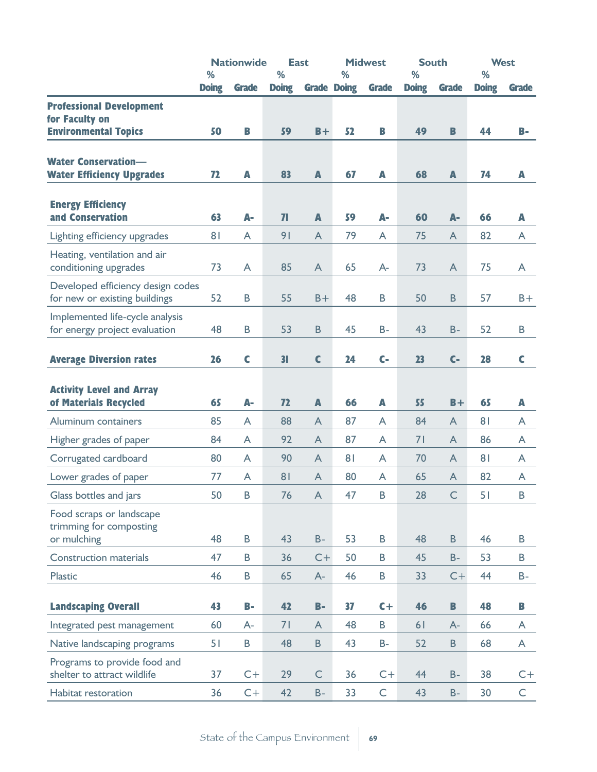|                                                                    | <b>Nationwide</b> |              |                         | <b>East</b>    |                         | <b>Midwest</b> |              | <b>South</b><br>% |                | <b>West</b><br>% |  |
|--------------------------------------------------------------------|-------------------|--------------|-------------------------|----------------|-------------------------|----------------|--------------|-------------------|----------------|------------------|--|
|                                                                    | %<br><b>Doing</b> | <b>Grade</b> | %<br><b>Doing</b>       |                | %<br><b>Grade Doing</b> | <b>Grade</b>   | <b>Doing</b> | <b>Grade</b>      | <b>Doing</b>   | <b>Grade</b>     |  |
| <b>Professional Development</b>                                    |                   |              |                         |                |                         |                |              |                   |                |                  |  |
| for Faculty on                                                     |                   |              |                         |                |                         |                |              |                   |                |                  |  |
| <b>Environmental Topics</b>                                        | 50                | B            | 59                      | $B +$          | 52                      | B              | 49           | $\mathbf{B}$      | 44             | $B-$             |  |
| <b>Water Conservation-</b>                                         |                   |              |                         |                |                         |                |              |                   |                |                  |  |
| <b>Water Efficiency Upgrades</b>                                   | 72                | A            | 83                      | A              | 67                      | A              | 68           | $\blacktriangle$  | 74             | A                |  |
|                                                                    |                   |              |                         |                |                         |                |              |                   |                |                  |  |
| <b>Energy Efficiency</b>                                           |                   |              |                         |                |                         |                |              |                   |                |                  |  |
| and Conservation                                                   | 63                | A-           | $\overline{\mathbf{I}}$ | A              | 59                      | А-             | 60           | A-                | 66             | $\overline{A}$   |  |
| Lighting efficiency upgrades                                       | 8 <sup>1</sup>    | A            | 9 <sub>1</sub>          | A              | 79                      | A              | 75           | A                 | 82             | A                |  |
| Heating, ventilation and air                                       |                   |              |                         |                |                         |                |              |                   |                |                  |  |
| conditioning upgrades                                              | 73                | A            | 85                      | A              | 65                      | $A-$           | 73           | $\mathsf{A}$      | 75             | A                |  |
| Developed efficiency design codes<br>for new or existing buildings | 52                | B            | 55                      | $B +$          | 48                      | B              | 50           | $\sf B$           | 57             | $B +$            |  |
| Implemented life-cycle analysis                                    |                   |              |                         |                |                         |                |              |                   |                |                  |  |
| for energy project evaluation                                      | 48                | $\sf B$      | 53                      | $\sf{B}$       | 45                      | $B -$          | 43           | $B -$             | 52             | B                |  |
| <b>Average Diversion rates</b>                                     | 26                | $\mathsf{C}$ | 3 <sub>l</sub>          | $\mathbf c$    | 24                      | $C-$           | 23           | $C-$              | 28             | C                |  |
|                                                                    |                   |              |                         |                |                         |                |              |                   |                |                  |  |
| <b>Activity Level and Array</b>                                    |                   |              |                         |                |                         |                |              |                   |                |                  |  |
| of Materials Recycled                                              | 65                | A-           | 72                      | A              | 66                      | A              | 55           | $B +$             | 65             | A                |  |
| Aluminum containers                                                | 85                | A            | 88                      | A              | 87                      | A              | 84           | $\mathsf{A}$      | 8 <sub>1</sub> | A                |  |
| Higher grades of paper                                             | 84                | A            | 92                      | A              | 87                      | A              | 71           | A                 | 86             | A                |  |
| Corrugated cardboard                                               | 80                | A            | 90                      | A              | 8 <sub>1</sub>          | A              | 70           | A                 | 8 <sub>1</sub> | A                |  |
| Lower grades of paper                                              | 77                | A            | 8 <sub>1</sub>          | A              | 80                      | A              | 65           | $\mathsf{A}$      | 82             | A                |  |
| Glass bottles and jars                                             | 50                | B            | 76                      | $\overline{A}$ | 47                      | $\sf B$        | 28           | $\subset$         | 51             | B                |  |
| Food scraps or landscape                                           |                   |              |                         |                |                         |                |              |                   |                |                  |  |
| trimming for composting                                            |                   |              |                         |                |                         |                |              |                   |                |                  |  |
| or mulching                                                        | 48                | $\sf{B}$     | 43                      | $B -$          | 53                      | B              | 48           | $\, {\bf B}$      | 46             | B                |  |
| <b>Construction materials</b>                                      | 47                | B            | 36                      | $C+$           | 50                      | B              | 45           | $B -$             | 53             | $\sf B$          |  |
| Plastic                                                            | 46                | B            | 65                      | $A-$           | 46                      | B              | 33           | $C+$              | 44             | $B -$            |  |
| <b>Landscaping Overall</b>                                         | 43                | $B -$        | 42                      | $B -$          | 37                      | $C +$          | 46           | $\mathbf{B}$      | 48             | B                |  |
| Integrated pest management                                         | 60                | $A -$        | 71                      | A              | 48                      | B              | 61           | $A-$              | 66             | A                |  |
| Native landscaping programs                                        | 51                | B            | 48                      | $\sf{B}$       | 43                      | <b>B-</b>      | 52           | B                 | 68             | A                |  |
| Programs to provide food and                                       |                   |              |                         |                |                         |                |              |                   |                |                  |  |
| shelter to attract wildlife                                        | 37                | $C+$         | 29                      | $\subset$      | 36                      | $C+$           | 44           | $B -$             | 38             | $C+$             |  |
| Habitat restoration                                                | 36                | $C+$         | 42                      | $B -$          | 33                      | $\mathsf C$    | 43           | $B -$             | 30             | C                |  |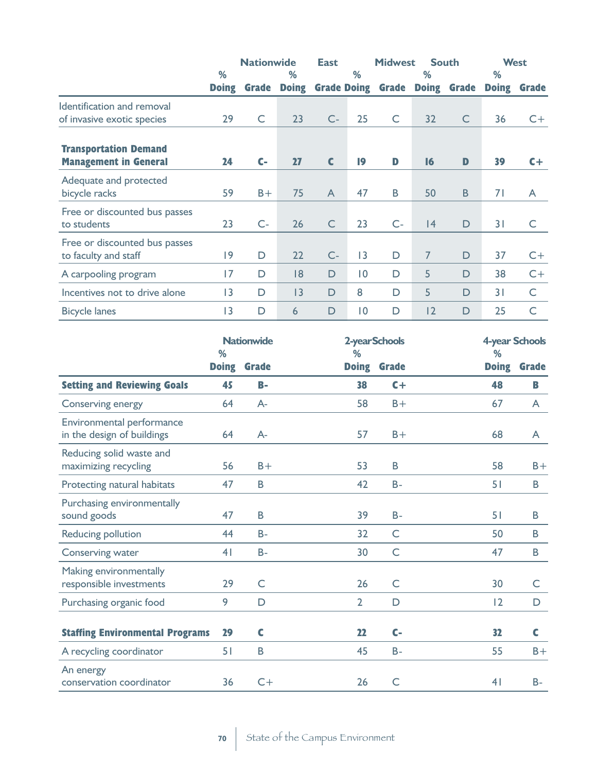|                                                       | <b>Nationwide</b> |              | <b>East</b>  |                    | <b>Midwest</b><br><b>South</b> |              |                | <b>West</b>  |              |              |
|-------------------------------------------------------|-------------------|--------------|--------------|--------------------|--------------------------------|--------------|----------------|--------------|--------------|--------------|
|                                                       | %                 |              | $\%$         |                    | $\%$                           |              | %              |              | %            |              |
|                                                       | <b>Doing</b>      | <b>Grade</b> | <b>Doing</b> | <b>Grade Doing</b> |                                | <b>Grade</b> | <b>Doing</b>   | <b>Grade</b> | <b>Doing</b> | <b>Grade</b> |
| Identification and removal                            |                   |              |              |                    |                                |              |                |              |              |              |
| of invasive exotic species                            | 29                | C            | 23           | $C -$              | 25                             | $\mathsf{C}$ | 32             | $\mathsf{C}$ | 36           | $C +$        |
| <b>Transportation Demand</b>                          | 24                | $C-$         | 27           | C                  | $\overline{19}$                | D            | $\overline{6}$ | D            | 39           | $C +$        |
| <b>Management in General</b>                          |                   |              |              |                    |                                |              |                |              |              |              |
| Adequate and protected<br>bicycle racks               | 59                | $B +$        | 75           | $\mathsf{A}$       | 47                             | B            | 50             | <sub>B</sub> | 71           | A            |
| Free or discounted bus passes<br>to students          | 23                | $C-$         | 26           | $\mathsf{C}$       | 23                             | $C -$        | 4              | D            | 31           | C            |
| Free or discounted bus passes<br>to faculty and staff | 9                 | D            | 22           | $C-$               | 3                              | D            | 7              | D            | 37           | $C +$        |
| A carpooling program                                  | 17                | D            | 8            | D                  | $\overline{0}$                 | D            | 5              | D            | 38           | $C+$         |
| Incentives not to drive alone                         | 13                | D            | 3            | D                  | 8                              | D            | 5              | D            | 31           | C            |
| <b>Bicycle lanes</b>                                  | 3                 | D            | 6            | $\mathsf{D}$       | $\overline{0}$                 | D            | 12             | D            | 25           | C            |

|                                                         | <b>Nationwide</b><br>% |              | %              | 2-yearSchools        | 4-year Schools<br>% |              |  |
|---------------------------------------------------------|------------------------|--------------|----------------|----------------------|---------------------|--------------|--|
|                                                         | <b>Doing</b>           | <b>Grade</b> | <b>Doing</b>   | <b>Grade</b>         | <b>Doing</b>        | <b>Grade</b> |  |
| <b>Setting and Reviewing Goals</b>                      | 45                     | $B-$         | 38             | $C +$                | 48                  | B            |  |
| Conserving energy                                       | 64                     | $A -$        | 58             | $B +$                | 67                  | A            |  |
| Environmental performance<br>in the design of buildings | 64                     | $A-$         | 57             | $B +$                | 68                  | A            |  |
| Reducing solid waste and<br>maximizing recycling        | 56                     | $B +$        | 53             | B                    | 58                  | $B +$        |  |
| Protecting natural habitats                             | 47                     | $\sf B$      | 42             | $B -$                | 51                  | B            |  |
| Purchasing environmentally<br>sound goods               | 47                     | $\sf B$      | 39             | $B -$                | 51                  | B            |  |
| Reducing pollution                                      | 44                     | $B -$        | 32             | C                    | 50                  | B            |  |
| Conserving water                                        | 4 <sub>1</sub>         | $B -$        | 30             | $\mathsf{C}$         | 47                  | B            |  |
| Making environmentally<br>responsible investments       | 29                     | $\mathsf C$  | 26             | $\subset$            | 30                  | C            |  |
| Purchasing organic food                                 | 9                      | D            | $\overline{2}$ | D                    | $\overline{2}$      | D            |  |
| <b>Staffing Environmental Programs</b>                  | 29                     | C            | 22             | $\mathsf{C}\text{-}$ | 32                  | C            |  |
| A recycling coordinator                                 | 51                     | $\mathsf B$  | 45             | $B -$                | 55                  | $B +$        |  |
| An energy<br>conservation coordinator                   | 36                     | $C +$        | 26             | $\subset$            | 4 <sub>1</sub>      | <b>B-</b>    |  |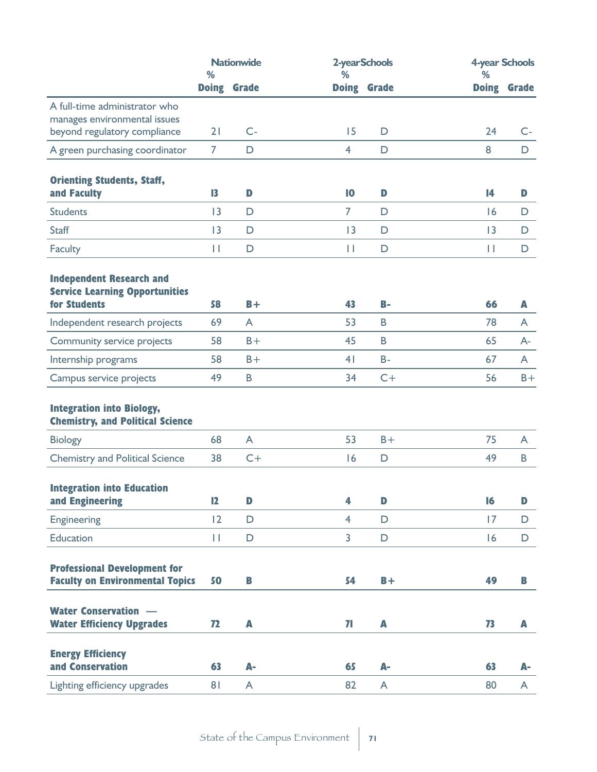|                                                                               | <b>Nationwide</b><br>% |              | %                       | 2-yearSchools      | <b>4-year Schools</b><br>% |              |  |
|-------------------------------------------------------------------------------|------------------------|--------------|-------------------------|--------------------|----------------------------|--------------|--|
|                                                                               | <b>Doing</b>           | <b>Grade</b> |                         | <b>Doing Grade</b> | <b>Doing</b>               | <b>Grade</b> |  |
| A full-time administrator who<br>manages environmental issues                 |                        |              |                         |                    |                            |              |  |
| beyond regulatory compliance                                                  | 21                     | $C -$        | 15                      | $\mathsf D$        | 24                         | $C-$         |  |
| A green purchasing coordinator                                                | $\overline{7}$         | $\mathsf D$  | $\overline{4}$          | D                  | 8                          | D            |  |
| <b>Orienting Students, Staff,</b><br>and Faculty                              | 13                     | D            | 10                      | D                  | 14                         | $\mathbf{D}$ |  |
| <b>Students</b>                                                               | 3                      | $\mathsf D$  | 7                       | D                  | 16                         | $\mathsf D$  |  |
| <b>Staff</b>                                                                  | 3                      | $\mathsf D$  | 3                       | D                  | 3                          | $\mathsf D$  |  |
| <b>Faculty</b>                                                                | $\mathbf{H}$           | $\mathsf D$  | $\mathbf{H}$            | D                  | $\mathbf{H}$               | $\mathsf D$  |  |
| <b>Independent Research and</b><br><b>Service Learning Opportunities</b>      |                        |              |                         |                    |                            |              |  |
| for Students                                                                  | 58                     | $B +$        | 43                      | $B-$               | 66                         | A            |  |
| Independent research projects                                                 | 69                     | A            | 53                      | B                  | 78                         | A            |  |
| Community service projects                                                    | 58                     | $B +$        | 45                      | $\sf B$            | 65                         | $A-$         |  |
| Internship programs                                                           | 58                     | $B +$        | 4 <sub>1</sub>          | $B -$              | 67                         | A            |  |
| Campus service projects                                                       | 49                     | B            | 34                      | $C+$               | 56                         | $B +$        |  |
| <b>Integration into Biology,</b><br><b>Chemistry, and Political Science</b>   |                        |              |                         |                    |                            |              |  |
| <b>Biology</b>                                                                | 68                     | A            | 53                      | $B +$              | 75                         | A            |  |
| <b>Chemistry and Political Science</b>                                        | 38                     | $C+$         | 6                       | $\mathsf D$        | 49                         | B            |  |
| <b>Integration into Education</b><br>and Engineering                          | 12                     | $\mathbf{D}$ | 4                       | $\mathbf{D}$       | 16                         | D            |  |
| Engineering                                                                   | 12                     | $\mathsf D$  | $\overline{4}$          | D                  | 17                         | $\mathsf D$  |  |
| <b>Education</b>                                                              | П                      | $\mathsf D$  | $\overline{\mathbf{3}}$ | $\mathsf D$        | 16                         | $\mathsf D$  |  |
| <b>Professional Development for</b><br><b>Faculty on Environmental Topics</b> | 50                     | B            | 54                      | $B +$              | 49                         | B            |  |
| <b>Water Conservation —</b>                                                   |                        |              |                         |                    |                            |              |  |
| <b>Water Efficiency Upgrades</b>                                              | 72                     | A            | 71                      | $\mathbb{A}$       | 73                         | A            |  |
| <b>Energy Efficiency</b>                                                      |                        |              |                         |                    |                            |              |  |
| and Conservation                                                              | 63                     | А-           | 65                      | А-                 | 63                         | А-           |  |
| Lighting efficiency upgrades                                                  | 81                     | $\mathsf{A}$ | 82                      | A                  | 80                         | $\mathsf{A}$ |  |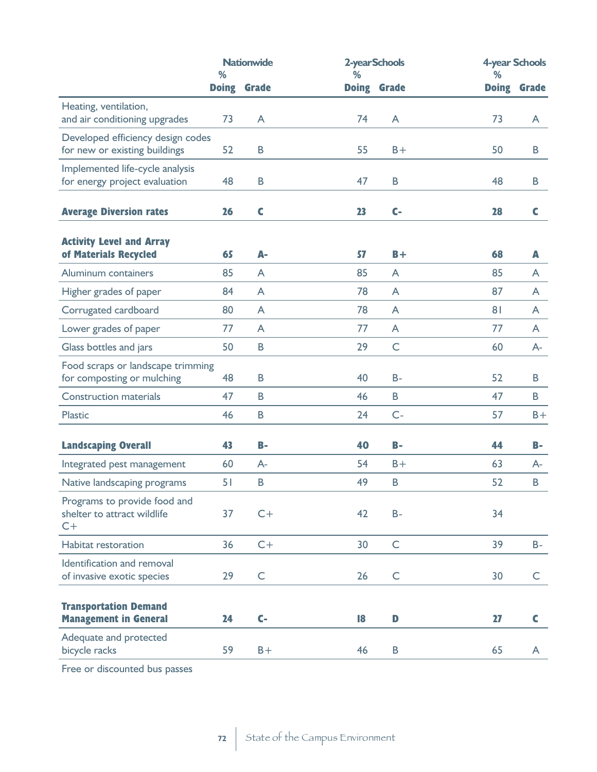|                                                                      | <b>Nationwide</b><br>% |                | ℅  | 2-yearSchools | 4-year Schools<br>% |              |  |
|----------------------------------------------------------------------|------------------------|----------------|----|---------------|---------------------|--------------|--|
|                                                                      | <b>Doing</b>           | <b>Grade</b>   |    | Doing Grade   | <b>Doing</b>        | <b>Grade</b> |  |
| Heating, ventilation,<br>and air conditioning upgrades               | 73                     | A              | 74 | A             | 73                  | A            |  |
| Developed efficiency design codes<br>for new or existing buildings   | 52                     | B              | 55 | $B +$         | 50                  | B            |  |
| Implemented life-cycle analysis<br>for energy project evaluation     | 48                     | B              | 47 | B             | 48                  | B            |  |
| <b>Average Diversion rates</b>                                       | 26                     | $\mathbf c$    | 23 | $C-$          | 28                  | C            |  |
| <b>Activity Level and Array</b><br>of Materials Recycled             | 65                     | А-             | 57 | $B +$         | 68                  | $\mathbf{A}$ |  |
| Aluminum containers                                                  | 85                     | A              | 85 | A             | 85                  | A            |  |
| Higher grades of paper                                               | 84                     | $\overline{A}$ | 78 | A             | 87                  | A            |  |
| Corrugated cardboard                                                 | 80                     | $\mathsf{A}$   | 78 | A             | 8                   | A            |  |
| Lower grades of paper                                                | 77                     | A              | 77 | A             | 77                  | A            |  |
| Glass bottles and jars                                               | 50                     | B              | 29 | $\mathsf{C}$  | 60                  | $A -$        |  |
| Food scraps or landscape trimming<br>for composting or mulching      | 48                     | B              | 40 | <b>B-</b>     | 52                  | B            |  |
| <b>Construction materials</b>                                        | 47                     | B              | 46 | B             | 47                  | B            |  |
| <b>Plastic</b>                                                       | 46                     | B              | 24 | $C-$          | 57                  | $B +$        |  |
| <b>Landscaping Overall</b>                                           | 43                     | $B-$           | 40 | $B-$          | 44                  | <b>B-</b>    |  |
| Integrated pest management                                           | 60                     | $A-$           | 54 | $B +$         | 63                  | $A-$         |  |
| Native landscaping programs                                          | 51                     | B              | 49 | $\sf B$       | 52                  | B            |  |
| Programs to provide food and<br>shelter to attract wildlife<br>$C +$ | 37                     | $C +$          | 42 | $B -$         | 34                  |              |  |
| Habitat restoration                                                  | 36                     | $C+$           | 30 | $\mathsf C$   | 39                  | $B -$        |  |
| Identification and removal<br>of invasive exotic species             | 29                     | $\subset$      | 26 | $\mathsf{C}$  | 30                  | C            |  |
| <b>Transportation Demand</b><br><b>Management in General</b>         | 24                     | $C-$           | 18 | $\mathbf{D}$  | 27                  | $\mathsf{C}$ |  |
| Adequate and protected<br>bicycle racks                              | 59                     | $B +$          | 46 | B             | 65                  | A            |  |

Free or discounted bus passes